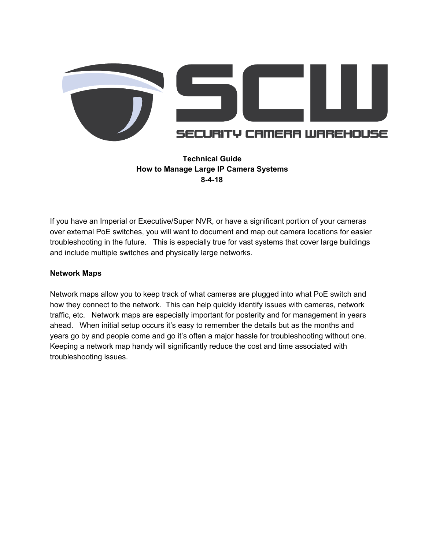

## **Technical Guide How to Manage Large IP Camera Systems 8-4-18**

If you have an Imperial or Executive/Super NVR, or have a significant portion of your cameras over external PoE switches, you will want to document and map out camera locations for easier troubleshooting in the future. This is especially true for vast systems that cover large buildings and include multiple switches and physically large networks.

## **Network Maps**

Network maps allow you to keep track of what cameras are plugged into what PoE switch and how they connect to the network. This can help quickly identify issues with cameras, network traffic, etc. Network maps are especially important for posterity and for management in years ahead. When initial setup occurs it's easy to remember the details but as the months and years go by and people come and go it's often a major hassle for troubleshooting without one. Keeping a network map handy will significantly reduce the cost and time associated with troubleshooting issues.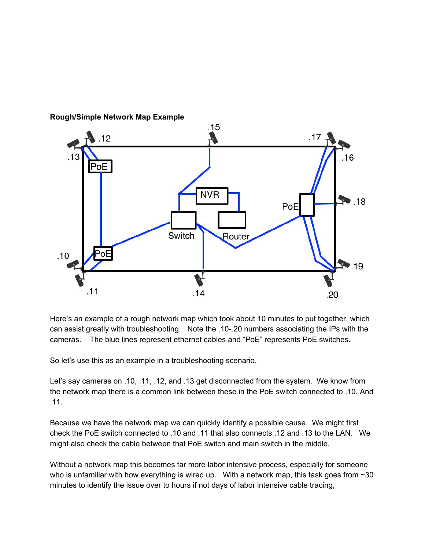

**Rough/Simple Network Map Example**

Here's an example of a rough network map which took about 10 minutes to put together, which can assist greatly with troubleshooting. Note the .10-.20 numbers associating the IPs with the cameras. The blue lines represent ethernet cables and "PoE" represents PoE switches.

So let's use this as an example in a troubleshooting scenario.

Let's say cameras on .10, .11, .12, and .13 get disconnected from the system. We know from the network map there is a common link between these in the PoE switch connected to .10. And .11.

Because we have the network map we can quickly identify a possible cause. We might first check the PoE switch connected to .10 and .11 that also connects .12 and .13 to the LAN. We might also check the cable between that PoE switch and main switch in the middle.

Without a network map this becomes far more labor intensive process, especially for someone who is unfamiliar with how everything is wired up. With a network map, this task goes from  $\sim$  30 minutes to identify the issue over to hours if not days of labor intensive cable tracing,